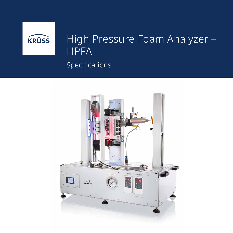

## High Pressure Foam Analyzer – **HPFA**

Specifications

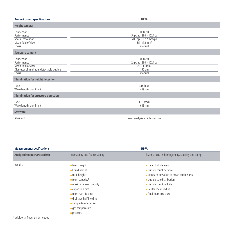| <b>Product group specifications</b>                                                               | <b>HPFA</b>                                                                                                    |
|---------------------------------------------------------------------------------------------------|----------------------------------------------------------------------------------------------------------------|
| <b>Height camera</b>                                                                              |                                                                                                                |
| Connection<br>Performance<br>Spatial resolution<br>Mean field of view<br>Focus                    | <b>USB 2.0</b><br>5 fps at 1280 × 1024 px<br>200 dpi   0.12 mm/px<br>$85 \times 5.2$ mm <sup>2</sup><br>manual |
| <b>Structure camera</b>                                                                           |                                                                                                                |
| Connection<br>Performance<br>Mean field of view<br>Diameter of minimum detectable bubble<br>Focus | <b>USB 2.0</b><br>2 fps at 1280 × 1024 px<br>$25 \times 13$ mm <sup>2</sup><br>$150 \mu m$<br>manual           |
| <b>Illumination for height detection</b>                                                          |                                                                                                                |
| <b>Type</b><br>Wave length, dominant                                                              | LED (blue)<br>469 nm                                                                                           |
| <b>Illumination for structure detection</b>                                                       |                                                                                                                |
| Type<br>Wave length, dominant                                                                     | LED (red)<br>633 nm                                                                                            |
| <b>Software</b>                                                                                   |                                                                                                                |
| ADVANCE                                                                                           | foam analysis - high pressure                                                                                  |

| <b>Measurement specifications</b>   |                                                                                                                                                                                                                                                                                         | <b>HPFA</b>                                                                                                                                                                                                                                                 |
|-------------------------------------|-----------------------------------------------------------------------------------------------------------------------------------------------------------------------------------------------------------------------------------------------------------------------------------------|-------------------------------------------------------------------------------------------------------------------------------------------------------------------------------------------------------------------------------------------------------------|
| <b>Analyzed foam characteristic</b> | foamability and foam stability                                                                                                                                                                                                                                                          | foam structure: homogeneity, stability and aging                                                                                                                                                                                                            |
| Results                             | $\blacksquare$ foam height<br>$\blacksquare$ liquid height<br>$\blacksquare$ total height<br>$\blacksquare$ foam capacity <sup>1)</sup><br>maximum foam density<br>expansion rate<br>$\blacksquare$ foam half life time<br>$\blacksquare$ drainage half life time<br>sample temperature | $\blacksquare$ mean bubble area<br><b>u</b> bubble count per mm <sup>2</sup><br>standard deviation of mean bubble area<br><b>p</b> bubble size distribution<br><b>p</b> bubble count half life<br>Sauter mean radius<br>$\blacksquare$ final foam structure |
|                                     | gas temperature<br>pressure                                                                                                                                                                                                                                                             |                                                                                                                                                                                                                                                             |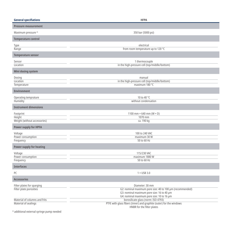| <b>General specifiations</b>                          | <b>HFPA</b>                                                                       |  |  |
|-------------------------------------------------------|-----------------------------------------------------------------------------------|--|--|
| <b>Pressure measurement</b>                           |                                                                                   |  |  |
| Maximum pressure <sup>2)</sup>                        | 350 bar (5000 psi)                                                                |  |  |
| <b>Temperature control</b>                            |                                                                                   |  |  |
| Type                                                  | electrical                                                                        |  |  |
| Range                                                 | from room temperature up to 120 °C                                                |  |  |
| <b>Temperature sensor</b>                             |                                                                                   |  |  |
| Sensor                                                | 1 thermocouple                                                                    |  |  |
| Location                                              | in the high-pressure cell (top/middle/bottom)                                     |  |  |
| <b>Mini dosing system</b>                             |                                                                                   |  |  |
| Dosing                                                | manual                                                                            |  |  |
| Location                                              | in the high-pressure cell (top/middle/bottom)                                     |  |  |
| Temperature                                           | maximum 180 °C                                                                    |  |  |
| <b>Environment</b>                                    |                                                                                   |  |  |
| Operating temprature                                  | 10 to 40 °C                                                                       |  |  |
| Humidity                                              | without condensation                                                              |  |  |
| <b>Instrument dimensions</b>                          |                                                                                   |  |  |
| Footprint                                             | 1100 mm $\times$ 640 mm (W $\times$ D)                                            |  |  |
| Height                                                | 1070 mm                                                                           |  |  |
| Weight (without accessories)                          | ca. 190 kg                                                                        |  |  |
| <b>Power supply for HPFA</b>                          |                                                                                   |  |  |
| Voltage                                               | 100 to 240 VAC                                                                    |  |  |
| Power consumption                                     | maximum 30 W                                                                      |  |  |
| Frequency                                             | 50 to 60 Hz                                                                       |  |  |
| <b>Power supply for heating</b>                       |                                                                                   |  |  |
| Voltage                                               | 115/230 VAC                                                                       |  |  |
| Power consumption                                     | maximum 1880 W                                                                    |  |  |
| Frequency                                             | 50 to 60 Hz                                                                       |  |  |
| <b>Interfaces</b>                                     |                                                                                   |  |  |
| PC.                                                   | $1 \times$ USB 3.0                                                                |  |  |
| <b>Accessories</b>                                    |                                                                                   |  |  |
| Filter plates for sparging                            | Diameter: 30 mm                                                                   |  |  |
| Filter plate porosities                               | G2: nominal maximum pore size: 40 to 100 µm (recommended)                         |  |  |
|                                                       | G3: nominal maximum pore size: 16 to 40 µm                                        |  |  |
| Material of columns and frits                         | G4: nominal maximum pore size: 10 to 16 µm<br>borosilicate glass (norm: ISO 4793) |  |  |
| Material of sealings                                  | PTFE with glass fibers (inner) and graphite (outer) for the windows               |  |  |
|                                                       | HNBR for the filter plates                                                        |  |  |
| <sup>2)</sup> additional external syringe pump needed |                                                                                   |  |  |